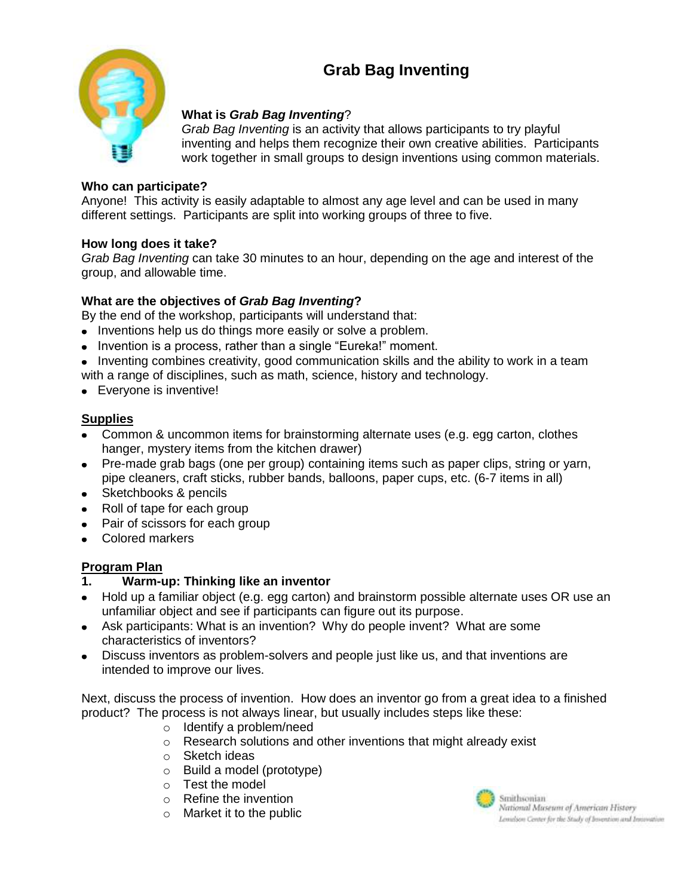# **Grab Bag Inventing**



# **What is** *Grab Bag Inventing*?

*Grab Bag Inventing* is an activity that allows participants to try playful inventing and helps them recognize their own creative abilities. Participants work together in small groups to design inventions using common materials.

#### **Who can participate?**

Anyone! This activity is easily adaptable to almost any age level and can be used in many different settings. Participants are split into working groups of three to five.

#### **How long does it take?**

*Grab Bag Inventing* can take 30 minutes to an hour, depending on the age and interest of the group, and allowable time.

# **What are the objectives of** *Grab Bag Inventing***?**

By the end of the workshop, participants will understand that:

- Inventions help us do things more easily or solve a problem.
- Invention is a process, rather than a single "Eureka!" moment.
- Inventing combines creativity, good communication skills and the ability to work in a team with a range of disciplines, such as math, science, history and technology.
- Everyone is inventive!

# **Supplies**

- Common & uncommon items for brainstorming alternate uses (e.g. egg carton, clothes hanger, mystery items from the kitchen drawer)
- Pre-made grab bags (one per group) containing items such as paper clips, string or yarn, pipe cleaners, craft sticks, rubber bands, balloons, paper cups, etc. (6-7 items in all)
- Sketchbooks & pencils
- Roll of tape for each group
- Pair of scissors for each group
- Colored markers

#### **Program Plan**

- **1. Warm-up: Thinking like an inventor**
- Hold up a familiar object (e.g. egg carton) and brainstorm possible alternate uses OR use an unfamiliar object and see if participants can figure out its purpose.
- Ask participants: What is an invention? Why do people invent? What are some characteristics of inventors?
- Discuss inventors as problem-solvers and people just like us, and that inventions are intended to improve our lives.

Next, discuss the process of invention. How does an inventor go from a great idea to a finished product? The process is not always linear, but usually includes steps like these:

- o Identify a problem/need
- o Research solutions and other inventions that might already exist
- o Sketch ideas
- o Build a model (prototype)
- o Test the model
- o Refine the invention
- $\circ$  Market it to the public



Smithsonian. National Museum of American History Lemelson Center for the Study of Invention and Invention